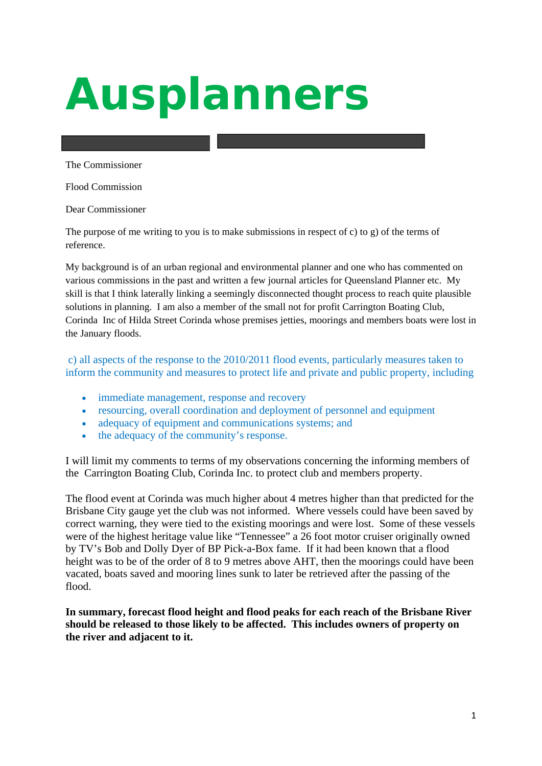# *Ausplanners*

The Commissioner

Flood Commission

Dear Commissioner

The purpose of me writing to you is to make submissions in respect of c) to g) of the terms of reference.

My background is of an urban regional and environmental planner and one who has commented on various commissions in the past and written a few journal articles for Queensland Planner etc. My skill is that I think laterally linking a seemingly disconnected thought process to reach quite plausible solutions in planning. I am also a member of the small not for profit Carrington Boating Club, Corinda Inc of Hilda Street Corinda whose premises jetties, moorings and members boats were lost in the January floods.

 c) all aspects of the response to the 2010/2011 flood events, particularly measures taken to inform the community and measures to protect life and private and public property, including

- immediate management, response and recovery
- resourcing, overall coordination and deployment of personnel and equipment
- adequacy of equipment and communications systems; and
- the adequacy of the community's response.

I will limit my comments to terms of my observations concerning the informing members of the Carrington Boating Club, Corinda Inc. to protect club and members property.

The flood event at Corinda was much higher about 4 metres higher than that predicted for the Brisbane City gauge yet the club was not informed. Where vessels could have been saved by correct warning, they were tied to the existing moorings and were lost. Some of these vessels were of the highest heritage value like "Tennessee" a 26 foot motor cruiser originally owned by TV's Bob and Dolly Dyer of BP Pick-a-Box fame. If it had been known that a flood height was to be of the order of 8 to 9 metres above AHT, then the moorings could have been vacated, boats saved and mooring lines sunk to later be retrieved after the passing of the flood.

**In summary, forecast flood height and flood peaks for each reach of the Brisbane River should be released to those likely to be affected. This includes owners of property on the river and adjacent to it.**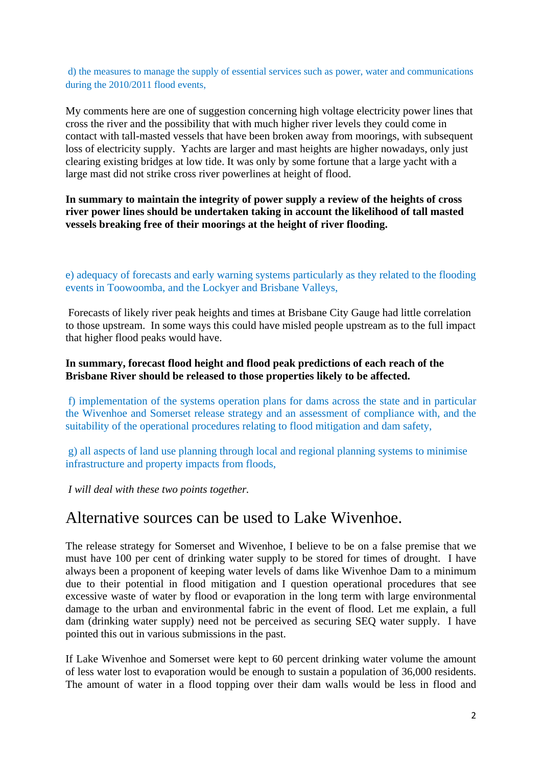d) the measures to manage the supply of essential services such as power, water and communications during the 2010/2011 flood events,

My comments here are one of suggestion concerning high voltage electricity power lines that cross the river and the possibility that with much higher river levels they could come in contact with tall-masted vessels that have been broken away from moorings, with subsequent loss of electricity supply. Yachts are larger and mast heights are higher nowadays, only just clearing existing bridges at low tide. It was only by some fortune that a large yacht with a large mast did not strike cross river powerlines at height of flood.

**In summary to maintain the integrity of power supply a review of the heights of cross river power lines should be undertaken taking in account the likelihood of tall masted vessels breaking free of their moorings at the height of river flooding.** 

e) adequacy of forecasts and early warning systems particularly as they related to the flooding events in Toowoomba, and the Lockyer and Brisbane Valleys,

 Forecasts of likely river peak heights and times at Brisbane City Gauge had little correlation to those upstream. In some ways this could have misled people upstream as to the full impact that higher flood peaks would have.

#### **In summary, forecast flood height and flood peak predictions of each reach of the Brisbane River should be released to those properties likely to be affected.**

 f) implementation of the systems operation plans for dams across the state and in particular the Wivenhoe and Somerset release strategy and an assessment of compliance with, and the suitability of the operational procedures relating to flood mitigation and dam safety,

 g) all aspects of land use planning through local and regional planning systems to minimise infrastructure and property impacts from floods,

 *I will deal with these two points together.* 

#### Alternative sources can be used to Lake Wivenhoe.

The release strategy for Somerset and Wivenhoe, I believe to be on a false premise that we must have 100 per cent of drinking water supply to be stored for times of drought. I have always been a proponent of keeping water levels of dams like Wivenhoe Dam to a minimum due to their potential in flood mitigation and I question operational procedures that see excessive waste of water by flood or evaporation in the long term with large environmental damage to the urban and environmental fabric in the event of flood. Let me explain, a full dam (drinking water supply) need not be perceived as securing SEQ water supply. I have pointed this out in various submissions in the past.

If Lake Wivenhoe and Somerset were kept to 60 percent drinking water volume the amount of less water lost to evaporation would be enough to sustain a population of 36,000 residents. The amount of water in a flood topping over their dam walls would be less in flood and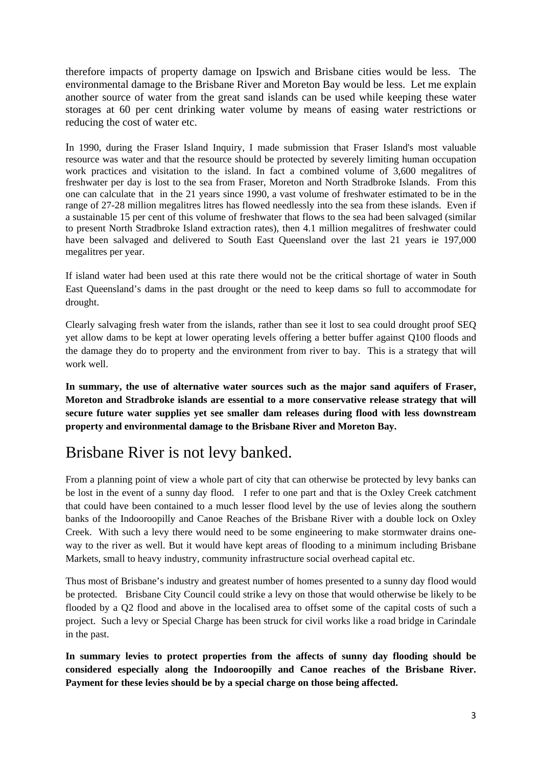therefore impacts of property damage on Ipswich and Brisbane cities would be less. The environmental damage to the Brisbane River and Moreton Bay would be less. Let me explain another source of water from the great sand islands can be used while keeping these water storages at 60 per cent drinking water volume by means of easing water restrictions or reducing the cost of water etc.

In 1990, during the Fraser Island Inquiry, I made submission that Fraser Island's most valuable resource was water and that the resource should be protected by severely limiting human occupation work practices and visitation to the island. In fact a combined volume of 3,600 megalitres of freshwater per day is lost to the sea from Fraser, Moreton and North Stradbroke Islands. From this one can calculate that in the 21 years since 1990, a vast volume of freshwater estimated to be in the range of 27-28 million megalitres litres has flowed needlessly into the sea from these islands. Even if a sustainable 15 per cent of this volume of freshwater that flows to the sea had been salvaged (similar to present North Stradbroke Island extraction rates), then 4.1 million megalitres of freshwater could have been salvaged and delivered to South East Queensland over the last 21 years ie 197,000 megalitres per year.

If island water had been used at this rate there would not be the critical shortage of water in South East Queensland's dams in the past drought or the need to keep dams so full to accommodate for drought.

Clearly salvaging fresh water from the islands, rather than see it lost to sea could drought proof SEQ yet allow dams to be kept at lower operating levels offering a better buffer against Q100 floods and the damage they do to property and the environment from river to bay. This is a strategy that will work well.

**In summary, the use of alternative water sources such as the major sand aquifers of Fraser, Moreton and Stradbroke islands are essential to a more conservative release strategy that will secure future water supplies yet see smaller dam releases during flood with less downstream property and environmental damage to the Brisbane River and Moreton Bay.** 

# Brisbane River is not levy banked.

From a planning point of view a whole part of city that can otherwise be protected by levy banks can be lost in the event of a sunny day flood. I refer to one part and that is the Oxley Creek catchment that could have been contained to a much lesser flood level by the use of levies along the southern banks of the Indooroopilly and Canoe Reaches of the Brisbane River with a double lock on Oxley Creek. With such a levy there would need to be some engineering to make stormwater drains oneway to the river as well. But it would have kept areas of flooding to a minimum including Brisbane Markets, small to heavy industry, community infrastructure social overhead capital etc.

Thus most of Brisbane's industry and greatest number of homes presented to a sunny day flood would be protected. Brisbane City Council could strike a levy on those that would otherwise be likely to be flooded by a Q2 flood and above in the localised area to offset some of the capital costs of such a project. Such a levy or Special Charge has been struck for civil works like a road bridge in Carindale in the past.

**In summary levies to protect properties from the affects of sunny day flooding should be considered especially along the Indooroopilly and Canoe reaches of the Brisbane River. Payment for these levies should be by a special charge on those being affected.**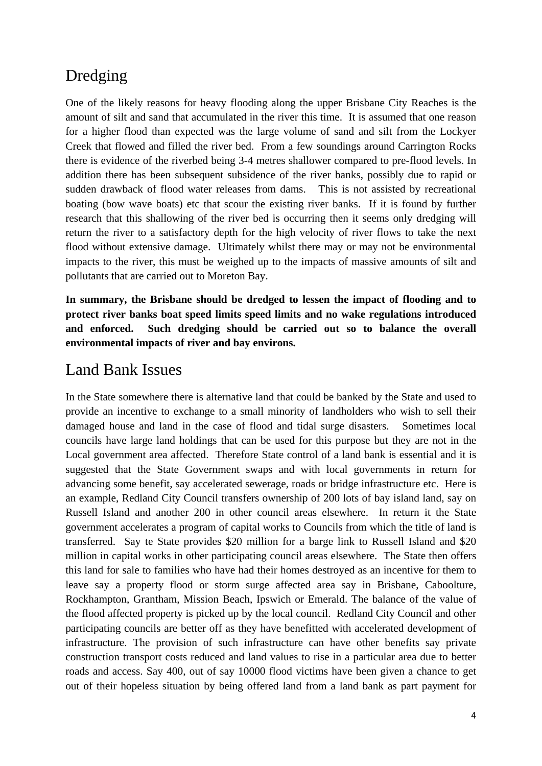## Dredging

One of the likely reasons for heavy flooding along the upper Brisbane City Reaches is the amount of silt and sand that accumulated in the river this time. It is assumed that one reason for a higher flood than expected was the large volume of sand and silt from the Lockyer Creek that flowed and filled the river bed. From a few soundings around Carrington Rocks there is evidence of the riverbed being 3-4 metres shallower compared to pre-flood levels. In addition there has been subsequent subsidence of the river banks, possibly due to rapid or sudden drawback of flood water releases from dams. This is not assisted by recreational boating (bow wave boats) etc that scour the existing river banks. If it is found by further research that this shallowing of the river bed is occurring then it seems only dredging will return the river to a satisfactory depth for the high velocity of river flows to take the next flood without extensive damage. Ultimately whilst there may or may not be environmental impacts to the river, this must be weighed up to the impacts of massive amounts of silt and pollutants that are carried out to Moreton Bay.

**In summary, the Brisbane should be dredged to lessen the impact of flooding and to protect river banks boat speed limits speed limits and no wake regulations introduced and enforced. Such dredging should be carried out so to balance the overall environmental impacts of river and bay environs.** 

### Land Bank Issues

In the State somewhere there is alternative land that could be banked by the State and used to provide an incentive to exchange to a small minority of landholders who wish to sell their damaged house and land in the case of flood and tidal surge disasters. Sometimes local councils have large land holdings that can be used for this purpose but they are not in the Local government area affected. Therefore State control of a land bank is essential and it is suggested that the State Government swaps and with local governments in return for advancing some benefit, say accelerated sewerage, roads or bridge infrastructure etc. Here is an example, Redland City Council transfers ownership of 200 lots of bay island land, say on Russell Island and another 200 in other council areas elsewhere. In return it the State government accelerates a program of capital works to Councils from which the title of land is transferred. Say te State provides \$20 million for a barge link to Russell Island and \$20 million in capital works in other participating council areas elsewhere. The State then offers this land for sale to families who have had their homes destroyed as an incentive for them to leave say a property flood or storm surge affected area say in Brisbane, Caboolture, Rockhampton, Grantham, Mission Beach, Ipswich or Emerald. The balance of the value of the flood affected property is picked up by the local council. Redland City Council and other participating councils are better off as they have benefitted with accelerated development of infrastructure. The provision of such infrastructure can have other benefits say private construction transport costs reduced and land values to rise in a particular area due to better roads and access. Say 400, out of say 10000 flood victims have been given a chance to get out of their hopeless situation by being offered land from a land bank as part payment for